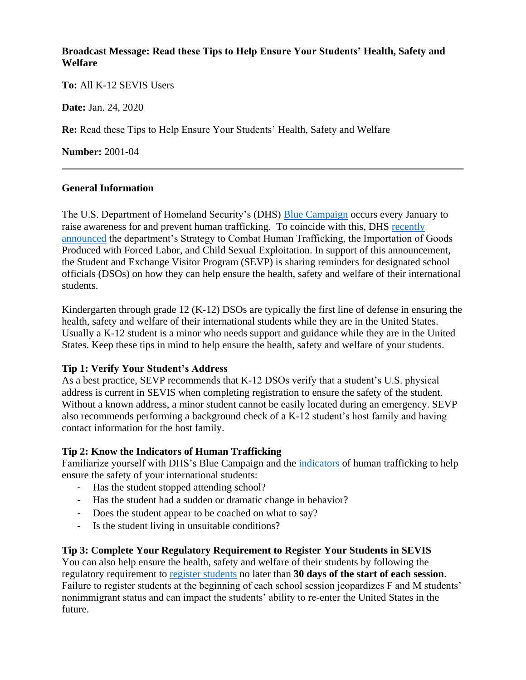### **Broadcast Message: Read these Tips to Help Ensure Your Students' Health, Safety and Welfare**

**To:** All K-12 SEVIS Users

**Date:** Jan. 24, 2020

**Re:** Read these Tips to Help Ensure Your Students' Health, Safety and Welfare

**Number:** 2001-04

### **General Information**

The U.S. Department of Homeland Security's (DHS) [Blue Campaign](https://www.dhs.gov/blue-campaign) occurs every January to raise awareness for and prevent human trafficking. To coincide with this, DHS [recently](https://www.dhs.gov/publication/strategy-combat-human-trafficking-importation-goods-produced-forced-labor-and-child)  [announced](https://www.dhs.gov/publication/strategy-combat-human-trafficking-importation-goods-produced-forced-labor-and-child) the department's Strategy to Combat Human Trafficking, the Importation of Goods Produced with Forced Labor, and Child Sexual Exploitation. In support of this announcement, the Student and Exchange Visitor Program (SEVP) is sharing reminders for designated school officials (DSOs) on how they can help ensure the health, safety and welfare of their international students.

Kindergarten through grade 12 (K-12) DSOs are typically the first line of defense in ensuring the health, safety and welfare of their international students while they are in the United States. Usually a K-12 student is a minor who needs support and guidance while they are in the United States. Keep these tips in mind to help ensure the health, safety and welfare of your students.

# **Tip 1: Verify Your Student's Address**

As a best practice, SEVP recommends that K-12 DSOs verify that a student's U.S. physical address is current in SEVIS when completing registration to ensure the safety of the student. Without a known address, a minor student cannot be easily located during an emergency. SEVP also recommends performing a background check of a K-12 student's host family and having contact information for the host family.

# **Tip 2: Know the Indicators of Human Trafficking**

Familiarize yourself with DHS's Blue Campaign and the [indicators](https://www.dhs.gov/blue-campaign/indicators-human-trafficking) of human trafficking to help ensure the safety of your international students:

- Has the student stopped attending school?
- Has the student had a sudden or dramatic change in behavior?
- Does the student appear to be coached on what to say?
- Is the student living in unsuitable conditions?

# **Tip 3: Complete Your Regulatory Requirement to Register Your Students in SEVIS**

You can also help ensure the health, safety and welfare of their students by following the regulatory requirement to [register students](https://studyinthestates.dhs.gov/sevis-help-hub/student-records/manage-program-dates-registration-and-course-load/registration) no later than **30 days of the start of each session**. Failure to register students at the beginning of each school session jeopardizes F and M students' nonimmigrant status and can impact the students' ability to re-enter the United States in the future.